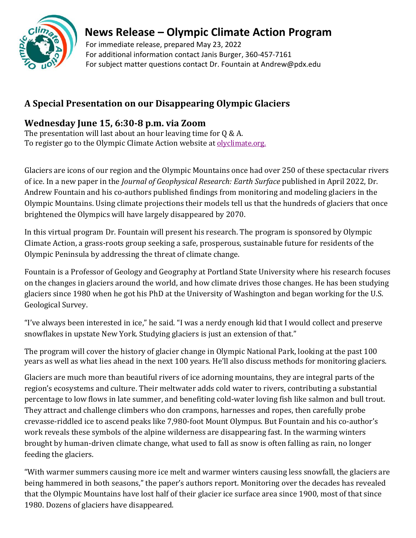

## **News Release – Olympic Climate Action Program**

 For immediate release, prepared May 23, 2022 For additional information contact Janis Burger, 360-457-7161 For subject matter questions contact Dr. Fountain at Andrew@pdx.edu

## **A Special Presentation on our Disappearing Olympic Glaciers**

## **Wednesday June 15, 6:30-8 p.m. via Zoom**

The presentation will last about an hour leaving time for  $0 \& A$ . To register go to the Olympic Climate Action website at [olyclimate.org.](https://olyclimate.org/)

Glaciers are icons of our region and the Olympic Mountains once had over 250 of these spectacular rivers of ice. In a new paper in the *Journal of Geophysical Research: Earth Surface* published in April 2022, Dr. Andrew Fountain and his co-authors published findings from monitoring and modeling glaciers in the Olympic Mountains. Using climate projections their models tell us that the hundreds of glaciers that once brightened the Olympics will have largely disappeared by 2070.

In this virtual program Dr. Fountain will present his research. The program is sponsored by Olympic Climate Action, a grass-roots group seeking a safe, prosperous, sustainable future for residents of the Olympic Peninsula by addressing the threat of climate change.

Fountain is a Professor of Geology and Geography at Portland State University where his research focuses on the changes in glaciers around the world, and how climate drives those changes. He has been studying glaciers since 1980 when he got his PhD at the University of Washington and began working for the U.S. Geological Survey.

"I've always been interested in ice," he said. "I was a nerdy enough kid that I would collect and preserve snowflakes in upstate New York. Studying glaciers is just an extension of that."

The program will cover the history of glacier change in Olympic National Park, looking at the past 100 years as well as what lies ahead in the next 100 years. He'll also discuss methods for monitoring glaciers.

Glaciers are much more than beautiful rivers of ice adorning mountains, they are integral parts of the region's ecosystems and culture. Their meltwater adds cold water to rivers, contributing a substantial percentage to low flows in late summer, and benefiting cold-water loving fish like salmon and bull trout. They attract and challenge climbers who don crampons, harnesses and ropes, then carefully probe crevasse-riddled ice to ascend peaks like 7,980-foot Mount Olympus. But Fountain and his co-author's work reveals these symbols of the alpine wilderness are disappearing fast. In the warming winters brought by human-driven climate change, what used to fall as snow is often falling as rain, no longer feeding the glaciers.

"With warmer summers causing more ice melt and warmer winters causing less snowfall, the glaciers are being hammered in both seasons," the paper's authors report. Monitoring over the decades has revealed that the Olympic Mountains have lost half of their glacier ice surface area since 1900, most of that since 1980. Dozens of glaciers have disappeared.